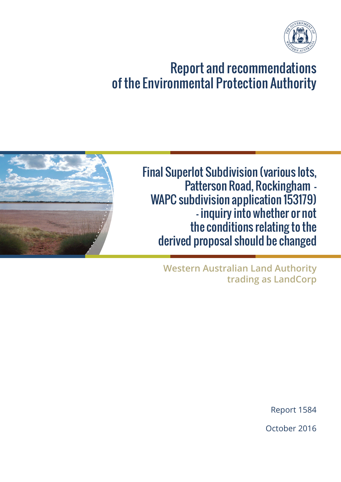### EPA R&R No. 1584

# ENVIRONMENTAL PROTECTION AUTHORITY REPORT AND RECOMMENDATIONS TO THE MINISTER FOR ENVIRONMENT

# **FINAL SUPERLOT SUBDIVISION (VARIOUS LOTS, PATTERSON ROAD, ROCKINGHAM – WAPC SUBDIVISION APPLICATION 153179) – INQUIRY INTO WHETHER OR NOT THE CONDITIONS RELATING TO THE DERIVED PROPOSAL SHOULD BE CHANGED (ASSESSMENT NO. 2086)**

At its meeting of 23 June 2016 (Meeting No. 1090) the Environmental Protection Authority (EPA) resolved pursuant to section 39B of the *Environmental Protection Act 1986* (EP Act) to declare the proposal for the Final Superlot Subdivision (various lots, Patterson Road, Rockingham – WAPC subdivision application 153179) to be a derived proposal.

The EPA also resolved pursuant to section 46(4) of the EP Act to inquire into whether or not the implementation conditions relating to the derived proposal should be changed. The EPA also agreed that the report and recommendations be prepared and submitted to the Minister for Environment by the Chairman of the EPA under Delegation No. 25 dated 24 January 2012.

The following is the EPA's Report and Recommendations (No. 1584) to the Minister for Environment pursuant to section 46(6) of the EP Act.

### **Background**

The Rockingham Industrial Zone was referred to the EPA in 2004. The EPA assessed the proposal as a strategic proposal at the level of Public Environmental Review. The EPA published EPA Report 1390 in April 2011.

The Minister for Environment issued Ministerial Statement 863 in May 2011. The Statement provided for the implementation of future derived proposals, including the subdivision of the development area, and set out conditions that future derived proposals would be subject to.

The EPA considers that several of the conditions as they apply to this derived proposal should be changed and has attached to this Report a draft Statement with recommended changes to the conditions.

Further, Schedule 1 of Ministerial Statement 863 established the key characteristics of future derived proposals. These included that the derived proposal include a Construction Environmental Management Plan (CEMP) and an Environmental